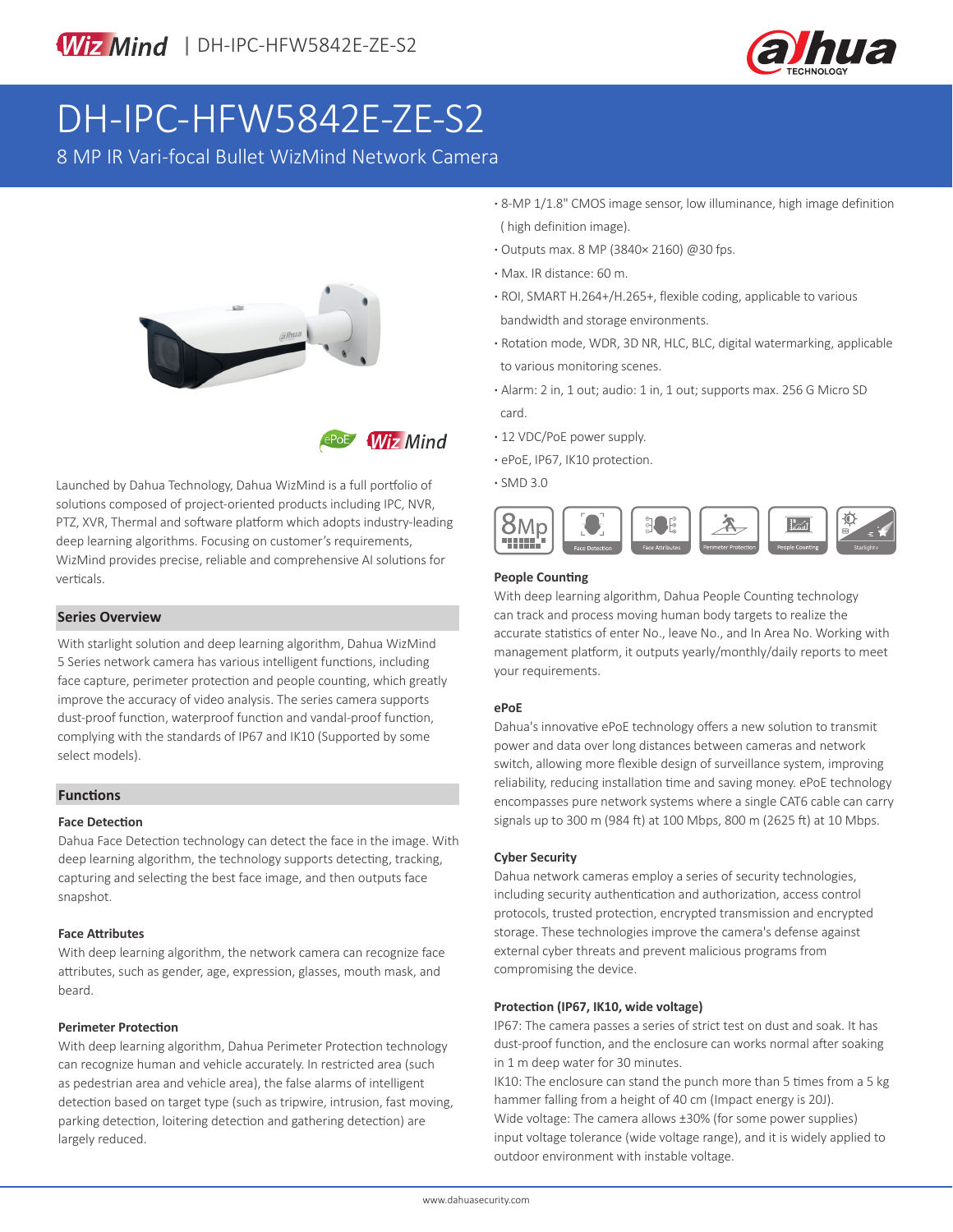

# DH-IPC-HFW5842E-ZE-S2

8 MP IR Vari-focal Bullet WizMind Network Camera



**Wiz Mind** 

Launched by Dahua Technology, Dahua WizMind is a full portfolio of solutions composed of project-oriented products including IPC, NVR, PTZ, XVR, Thermal and software platform which adopts industry-leading deep learning algorithms. Focusing on customer's requirements, WizMind provides precise, reliable and comprehensive AI solutions for verticals.

### **Series Overview**

With starlight solution and deep learning algorithm, Dahua WizMind 5 Series network camera has various intelligent functions, including face capture, perimeter protection and people counting, which greatly improve the accuracy of video analysis. The series camera supports dust-proof function, waterproof function and vandal-proof function, complying with the standards of IP67 and IK10 (Supported by some select models).

#### **Functions**

#### **Face Detection**

Dahua Face Detection technology can detect the face in the image. With deep learning algorithm, the technology supports detecting, tracking, capturing and selecting the best face image, and then outputs face snapshot.

#### **Face Attributes**

With deep learning algorithm, the network camera can recognize face attributes, such as gender, age, expression, glasses, mouth mask, and beard.

#### **Perimeter Protection**

With deep learning algorithm, Dahua Perimeter Protection technology can recognize human and vehicle accurately. In restricted area (such as pedestrian area and vehicle area), the false alarms of intelligent detection based on target type (such as tripwire, intrusion, fast moving, parking detection, loitering detection and gathering detection) are largely reduced.

- **·** 8-MP 1/1.8" CMOS image sensor, low illuminance, high image definition ( high definition image).
- **·** Outputs max. 8 MP (3840× 2160) @30 fps.
- **·** Max. IR distance: 60 m.
- **·** ROI, SMART H.264+/H.265+, flexible coding, applicable to various bandwidth and storage environments.
- **·** Rotation mode, WDR, 3D NR, HLC, BLC, digital watermarking, applicable to various monitoring scenes.
- **·** Alarm: 2 in, 1 out; audio: 1 in, 1 out; supports max. 256 G Micro SD card.
- **·** 12 VDC/PoE power supply.
- **·** ePoE, IP67, IK10 protection.
- **·** SMD 3.0



#### **People Counting**

With deep learning algorithm, Dahua People Counting technology can track and process moving human body targets to realize the accurate statistics of enter No., leave No., and In Area No. Working with management platform, it outputs yearly/monthly/daily reports to meet your requirements.

#### **ePoE**

Dahua's innovative ePoE technology offers a new solution to transmit power and data over long distances between cameras and network switch, allowing more flexible design of surveillance system, improving reliability, reducing installation time and saving money. ePoE technology encompasses pure network systems where a single CAT6 cable can carry signals up to 300 m (984 ft) at 100 Mbps, 800 m (2625 ft) at 10 Mbps.

#### **Cyber Security**

Dahua network cameras employ a series of security technologies, including security authentication and authorization, access control protocols, trusted protection, encrypted transmission and encrypted storage. These technologies improve the camera's defense against external cyber threats and prevent malicious programs from compromising the device.

#### **Protection (IP67, IK10, wide voltage)**

IP67: The camera passes a series of strict test on dust and soak. It has dust-proof function, and the enclosure can works normal after soaking in 1 m deep water for 30 minutes.

IK10: The enclosure can stand the punch more than 5 times from a 5 kg hammer falling from a height of 40 cm (Impact energy is 20J). Wide voltage: The camera allows ±30% (for some power supplies) input voltage tolerance (wide voltage range), and it is widely applied to outdoor environment with instable voltage.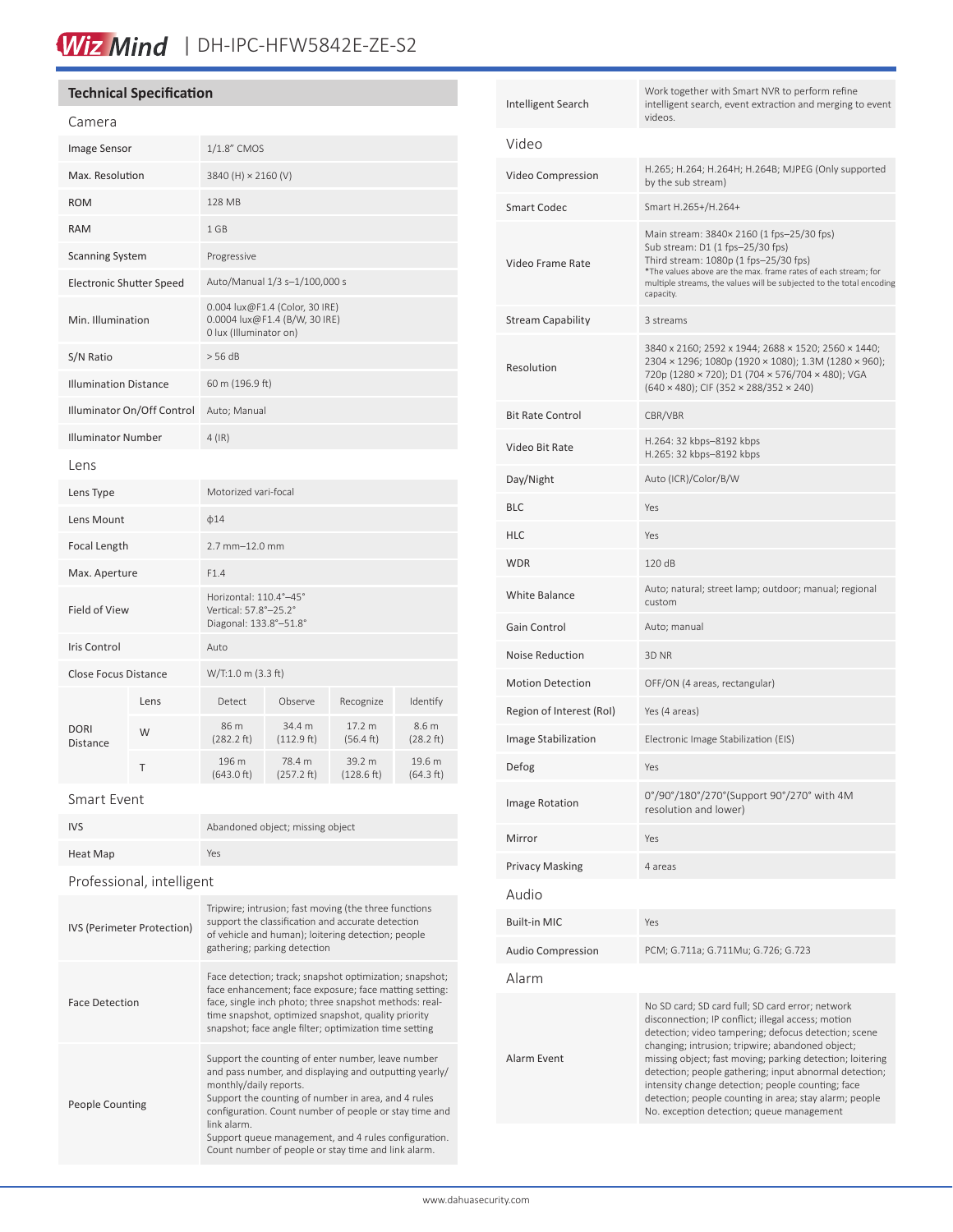# Wiz Mind | DH-IPC-HFW5842E-ZE-S2

# **Technical Specification**

| Camera                          |      |                                                                                           |                      |                      |                     |
|---------------------------------|------|-------------------------------------------------------------------------------------------|----------------------|----------------------|---------------------|
| Image Sensor                    |      | 1/1.8" CMOS                                                                               |                      |                      |                     |
| Max. Resolution                 |      | 3840 (H) × 2160 (V)                                                                       |                      |                      |                     |
| <b>ROM</b>                      |      | <b>128 MB</b>                                                                             |                      |                      |                     |
| <b>RAM</b>                      |      | 1 GB                                                                                      |                      |                      |                     |
| <b>Scanning System</b>          |      | Progressive                                                                               |                      |                      |                     |
| <b>Electronic Shutter Speed</b> |      | Auto/Manual 1/3 s-1/100,000 s                                                             |                      |                      |                     |
| Min. Illumination               |      | 0.004 lux@F1.4 (Color, 30 IRE)<br>0.0004 lux@F1.4 (B/W, 30 IRE)<br>0 lux (Illuminator on) |                      |                      |                     |
| S/N Ratio                       |      | $>$ 56 dB                                                                                 |                      |                      |                     |
| <b>Illumination Distance</b>    |      | 60 m (196.9 ft)                                                                           |                      |                      |                     |
| Illuminator On/Off Control      |      | Auto; Manual                                                                              |                      |                      |                     |
| <b>Illuminator Number</b>       |      | $4$ (IR)                                                                                  |                      |                      |                     |
| Lens                            |      |                                                                                           |                      |                      |                     |
| Lens Type                       |      | Motorized vari-focal                                                                      |                      |                      |                     |
| Lens Mount                      |      | $\phi$ 14                                                                                 |                      |                      |                     |
| Focal Length                    |      | $2.7$ mm $-12.0$ mm                                                                       |                      |                      |                     |
| Max. Aperture                   |      | F1.4                                                                                      |                      |                      |                     |
| <b>Field of View</b>            |      | Horizontal: 110.4°-45°<br>Vertical: 57.8°-25.2°<br>Diagonal: 133.8°-51.8°                 |                      |                      |                     |
| Iris Control                    |      | Auto                                                                                      |                      |                      |                     |
| <b>Close Focus Distance</b>     |      | W/T:1.0 m (3.3 ft)                                                                        |                      |                      |                     |
| <b>DORI</b><br><b>Distance</b>  | Lens | Detect                                                                                    | Observe              | Recognize            | Identify            |
|                                 | W    | 86 m<br>(282.2 ft)                                                                        | 34.4 m<br>(112.9 ft) | 17.2 m<br>(56.4 ft)  | 8.6 m<br>(28.2 ft)  |
|                                 | T    | 196 m<br>(643.0 ft)                                                                       | 78.4 m<br>(257.2 ft) | 39.2 m<br>(128.6 ft) | 19.6 m<br>(64.3 ft) |
|                                 |      |                                                                                           |                      |                      |                     |

Smart Event

| <b>IVS</b>                 | Abandoned object; missing object                                                                                                                                                                                                                                                             |  |
|----------------------------|----------------------------------------------------------------------------------------------------------------------------------------------------------------------------------------------------------------------------------------------------------------------------------------------|--|
| Heat Map                   | Yes                                                                                                                                                                                                                                                                                          |  |
| Professional, intelligent  |                                                                                                                                                                                                                                                                                              |  |
| IVS (Perimeter Protection) | Tripwire; intrusion; fast moving (the three functions<br>support the classification and accurate detection<br>of vehicle and human); loitering detection; people<br>gathering; parking detection                                                                                             |  |
| <b>Face Detection</b>      | Face detection; track; snapshot optimization; snapshot;<br>face enhancement; face exposure; face matting setting:<br>face, single inch photo; three snapshot methods: real-<br>time snapshot, optimized snapshot, quality priority<br>snapshot; face angle filter; optimization time setting |  |

| <b>People Counting</b> | Support the counting of enter number, leave number<br>and pass number, and displaying and outputting yearly/<br>monthly/daily reports.<br>Support the counting of number in area, and 4 rules<br>configuration. Count number of people or stay time and<br>link alarm.<br>Support queue management, and 4 rules configuration.<br>Count number of people or stay time and link alarm. |
|------------------------|---------------------------------------------------------------------------------------------------------------------------------------------------------------------------------------------------------------------------------------------------------------------------------------------------------------------------------------------------------------------------------------|

| Intelligent Search       | Work together with Smart NVR to perform refine<br>intelligent search, event extraction and merging to event<br>videos.                                                                                                                                                                                                                                                                                                                                                                                |  |  |
|--------------------------|-------------------------------------------------------------------------------------------------------------------------------------------------------------------------------------------------------------------------------------------------------------------------------------------------------------------------------------------------------------------------------------------------------------------------------------------------------------------------------------------------------|--|--|
| Video                    |                                                                                                                                                                                                                                                                                                                                                                                                                                                                                                       |  |  |
| Video Compression        | H.265; H.264; H.264H; H.264B; MJPEG (Only supported<br>by the sub stream)                                                                                                                                                                                                                                                                                                                                                                                                                             |  |  |
| <b>Smart Codec</b>       | Smart H.265+/H.264+                                                                                                                                                                                                                                                                                                                                                                                                                                                                                   |  |  |
| Video Frame Rate         | Main stream: 3840× 2160 (1 fps-25/30 fps)<br>Sub stream: D1 (1 fps-25/30 fps)<br>Third stream: 1080p (1 fps-25/30 fps)<br>*The values above are the max. frame rates of each stream; for<br>multiple streams, the values will be subjected to the total encoding<br>capacity.                                                                                                                                                                                                                         |  |  |
| <b>Stream Capability</b> | 3 streams                                                                                                                                                                                                                                                                                                                                                                                                                                                                                             |  |  |
| Resolution               | 3840 x 2160; 2592 x 1944; 2688 × 1520; 2560 × 1440;<br>2304 × 1296; 1080p (1920 × 1080); 1.3M (1280 × 960);<br>720p (1280 × 720); D1 (704 × 576/704 × 480); VGA<br>$(640 \times 480)$ ; CIF $(352 \times 288/352 \times 240)$                                                                                                                                                                                                                                                                         |  |  |
| <b>Bit Rate Control</b>  | CBR/VBR                                                                                                                                                                                                                                                                                                                                                                                                                                                                                               |  |  |
| Video Bit Rate           | H.264: 32 kbps-8192 kbps<br>H.265: 32 kbps-8192 kbps                                                                                                                                                                                                                                                                                                                                                                                                                                                  |  |  |
| Day/Night                | Auto (ICR)/Color/B/W                                                                                                                                                                                                                                                                                                                                                                                                                                                                                  |  |  |
| <b>BLC</b>               | Yes                                                                                                                                                                                                                                                                                                                                                                                                                                                                                                   |  |  |
| <b>HLC</b>               | Yes                                                                                                                                                                                                                                                                                                                                                                                                                                                                                                   |  |  |
| <b>WDR</b>               | 120 dB                                                                                                                                                                                                                                                                                                                                                                                                                                                                                                |  |  |
| <b>White Balance</b>     | Auto; natural; street lamp; outdoor; manual; regional<br>custom                                                                                                                                                                                                                                                                                                                                                                                                                                       |  |  |
| Gain Control             | Auto; manual                                                                                                                                                                                                                                                                                                                                                                                                                                                                                          |  |  |
| <b>Noise Reduction</b>   | 3D NR                                                                                                                                                                                                                                                                                                                                                                                                                                                                                                 |  |  |
| <b>Motion Detection</b>  | OFF/ON (4 areas, rectangular)                                                                                                                                                                                                                                                                                                                                                                                                                                                                         |  |  |
| Region of Interest (RoI) | Yes (4 areas)                                                                                                                                                                                                                                                                                                                                                                                                                                                                                         |  |  |
| Image Stabilization      | Electronic Image Stabilization (EIS)                                                                                                                                                                                                                                                                                                                                                                                                                                                                  |  |  |
| Defog                    | Yes                                                                                                                                                                                                                                                                                                                                                                                                                                                                                                   |  |  |
| Image Rotation           | 0°/90°/180°/270°(Support 90°/270° with 4M<br>resolution and lower)                                                                                                                                                                                                                                                                                                                                                                                                                                    |  |  |
| Mirror                   | Yes                                                                                                                                                                                                                                                                                                                                                                                                                                                                                                   |  |  |
| <b>Privacy Masking</b>   | 4 areas                                                                                                                                                                                                                                                                                                                                                                                                                                                                                               |  |  |
| <b>Audio</b>             |                                                                                                                                                                                                                                                                                                                                                                                                                                                                                                       |  |  |
| <b>Built-in MIC</b>      | Yes                                                                                                                                                                                                                                                                                                                                                                                                                                                                                                   |  |  |
| <b>Audio Compression</b> | PCM; G.711a; G.711Mu; G.726; G.723                                                                                                                                                                                                                                                                                                                                                                                                                                                                    |  |  |
| Alarm                    |                                                                                                                                                                                                                                                                                                                                                                                                                                                                                                       |  |  |
| Alarm Event              | No SD card; SD card full; SD card error; network<br>disconnection; IP conflict; illegal access; motion<br>detection; video tampering; defocus detection; scene<br>changing; intrusion; tripwire; abandoned object;<br>missing object; fast moving; parking detection; loitering<br>detection; people gathering; input abnormal detection;<br>intensity change detection; people counting; face<br>detection; people counting in area; stay alarm; people<br>No. exception detection; queue management |  |  |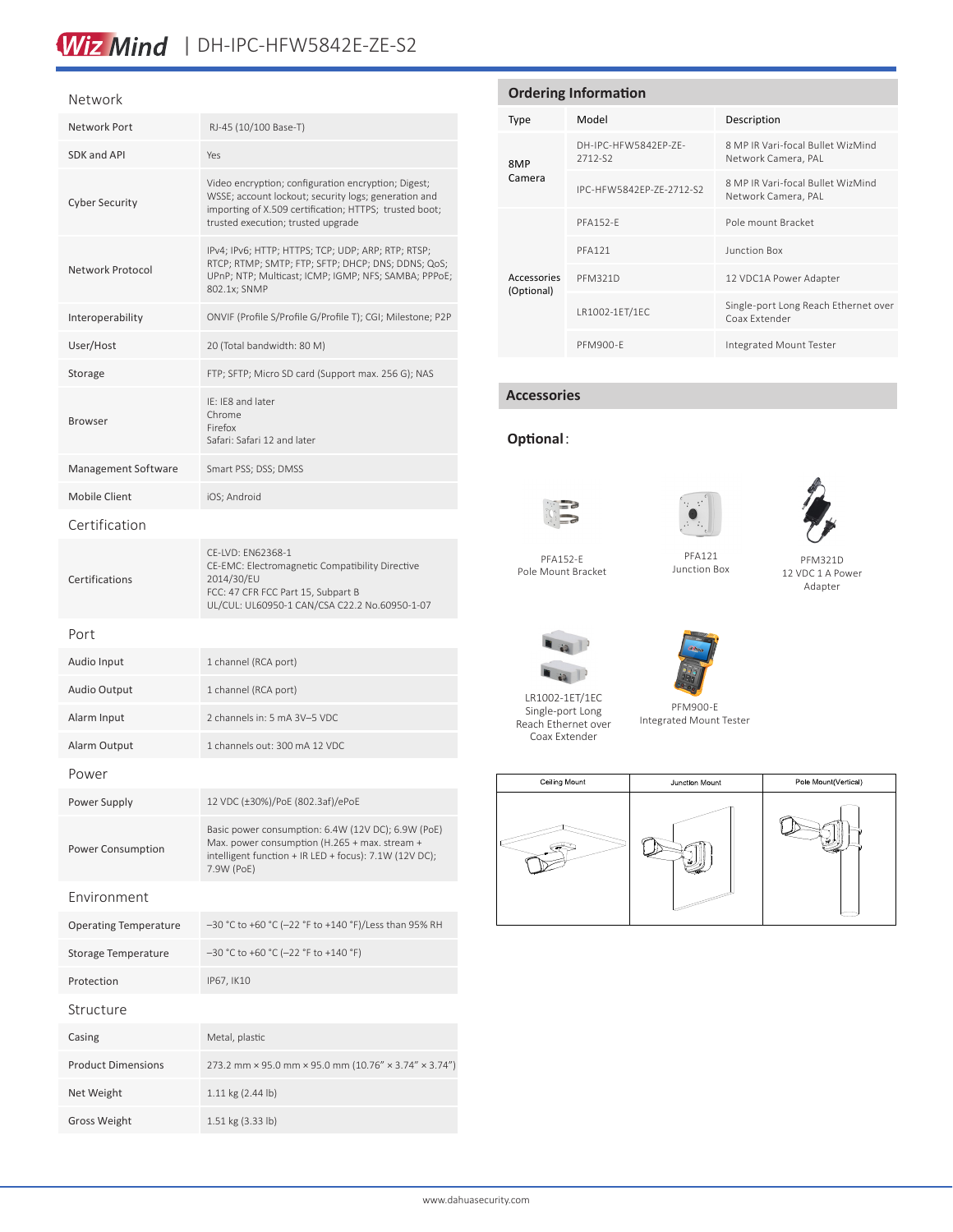# Wiz Mind | DH-IPC-HFW5842E-ZE-S2

#### Network

| Network Port                 | RJ-45 (10/100 Base-T)                                                                                                                                                                                       |  |  |
|------------------------------|-------------------------------------------------------------------------------------------------------------------------------------------------------------------------------------------------------------|--|--|
| SDK and API                  | Yes                                                                                                                                                                                                         |  |  |
| <b>Cyber Security</b>        | Video encryption; configuration encryption; Digest;<br>WSSE; account lockout; security logs; generation and<br>importing of X.509 certification; HTTPS; trusted boot;<br>trusted execution; trusted upgrade |  |  |
| Network Protocol             | IPv4; IPv6; HTTP; HTTPS; TCP; UDP; ARP; RTP; RTSP;<br>RTCP; RTMP; SMTP; FTP; SFTP; DHCP; DNS; DDNS; QoS;<br>UPnP; NTP; Multicast; ICMP; IGMP; NFS; SAMBA; PPPoE;<br>802.1x; SNMP                            |  |  |
| Interoperability             | ONVIF (Profile S/Profile G/Profile T); CGI; Milestone; P2P                                                                                                                                                  |  |  |
| User/Host                    | 20 (Total bandwidth: 80 M)                                                                                                                                                                                  |  |  |
| Storage                      | FTP; SFTP; Micro SD card (Support max. 256 G); NAS                                                                                                                                                          |  |  |
| <b>Browser</b>               | IE: IE8 and later<br>Chrome<br>Firefox<br>Safari: Safari 12 and later                                                                                                                                       |  |  |
| Management Software          | Smart PSS; DSS; DMSS                                                                                                                                                                                        |  |  |
| <b>Mobile Client</b>         | iOS; Android                                                                                                                                                                                                |  |  |
| Certification                |                                                                                                                                                                                                             |  |  |
| Certifications               | CE-LVD: EN62368-1<br>CE-EMC: Electromagnetic Compatibility Directive<br>2014/30/EU<br>FCC: 47 CFR FCC Part 15, Subpart B<br>UL/CUL: UL60950-1 CAN/CSA C22.2 No.60950-1-07                                   |  |  |
| Port                         |                                                                                                                                                                                                             |  |  |
| Audio Input                  | 1 channel (RCA port)                                                                                                                                                                                        |  |  |
| <b>Audio Output</b>          | 1 channel (RCA port)                                                                                                                                                                                        |  |  |
| Alarm Input                  | 2 channels in: 5 mA 3V-5 VDC                                                                                                                                                                                |  |  |
| Alarm Output                 | 1 channels out: 300 mA 12 VDC                                                                                                                                                                               |  |  |
| Power                        |                                                                                                                                                                                                             |  |  |
| Power Supply                 | 12 VDC (±30%)/PoE (802.3af)/ePoE                                                                                                                                                                            |  |  |
| <b>Power Consumption</b>     | Basic power consumption: 6.4W (12V DC); 6.9W (PoE)<br>Max. power consumption (H.265 + max. stream +<br>intelligent function + IR LED + focus): 7.1W (12V DC);<br>7.9W (PoE)                                 |  |  |
| Environment                  |                                                                                                                                                                                                             |  |  |
| <b>Operating Temperature</b> | -30 °C to +60 °C (-22 °F to +140 °F)/Less than 95% RH                                                                                                                                                       |  |  |
| <b>Storage Temperature</b>   | $-30$ °C to +60 °C (-22 °F to +140 °F)                                                                                                                                                                      |  |  |
| Protection                   | IP67, IK10                                                                                                                                                                                                  |  |  |
| Structure                    |                                                                                                                                                                                                             |  |  |
| Casing                       | Metal, plastic                                                                                                                                                                                              |  |  |
| <b>Product Dimensions</b>    | 273.2 mm × 95.0 mm × 95.0 mm (10.76" × 3.74" × 3.74")                                                                                                                                                       |  |  |
| Net Weight                   | 1.11 kg (2.44 lb)                                                                                                                                                                                           |  |  |
| <b>Gross Weight</b>          | 1.51 kg (3.33 lb)                                                                                                                                                                                           |  |  |

| <b>Ordering Information</b> |                                 |                                                          |  |  |
|-----------------------------|---------------------------------|----------------------------------------------------------|--|--|
| <b>Type</b>                 | Model                           | Description                                              |  |  |
| 8MP<br>Camera               | DH-IPC-HFW5842FP-7F-<br>2712-S2 | 8 MP IR Vari-focal Bullet WizMind<br>Network Camera, PAL |  |  |
|                             | IPC-HFW5842FP-7F-2712-S2        | 8 MP IR Vari-focal Bullet WizMind<br>Network Camera, PAL |  |  |
| Accessories<br>(Optional)   | <b>PFA152-F</b>                 | Pole mount Bracket                                       |  |  |
|                             | <b>PFA121</b>                   | Junction Box                                             |  |  |
|                             | <b>PFM321D</b>                  | 12 VDC1A Power Adapter                                   |  |  |
|                             | LR1002-1ET/1EC                  | Single-port Long Reach Ethernet over<br>Coax Extender    |  |  |
|                             | PFM900-F                        | Integrated Mount Tester                                  |  |  |

### **Accessories**

### **Optional**:



LR1002-1ET/1EC Single-port Long Reach Ethernet over Coax Extender

 $\blacksquare$ 

 $\blacksquare$ 





PFM321D

Adapter

PFA152-E Pole Mount Bracket

12 VDC 1 A Power PFA121 Junction Box





PFM900-E Integrated Mount Tester